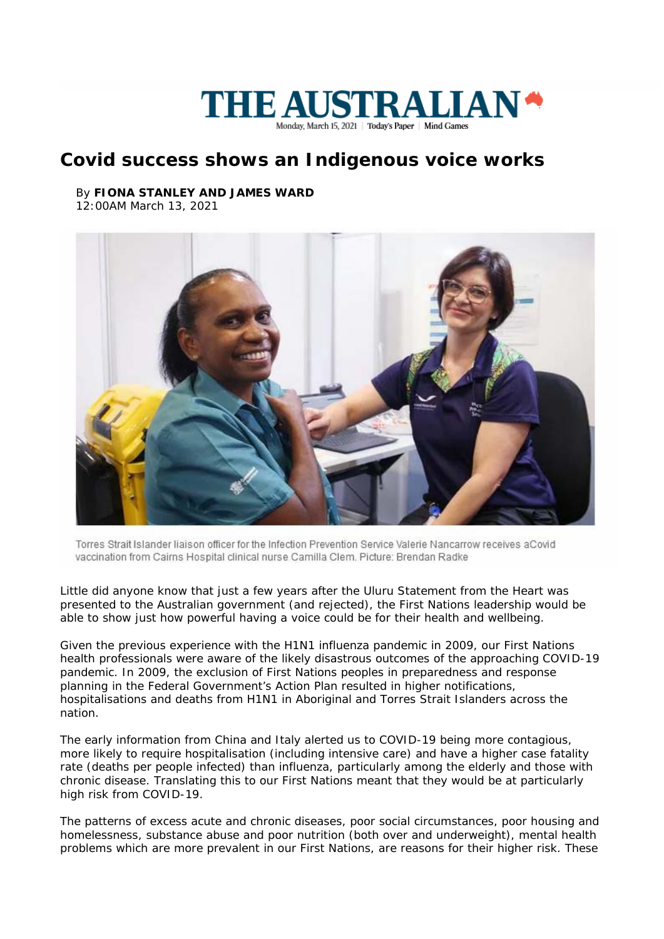

## **Covid success shows an Indigenous voice works**

## By **FIONA STANLEY AND JAMES WARD** 12:00AM March 13, 2021



Torres Strait Islander liaison officer for the Infection Prevention Service Valerie Nancarrow receives aCovid vaccination from Cairns Hospital clinical nurse Camilla Clem. Picture: Brendan Radke

Little did anyone know that just a few years after the Uluru Statement from the Heart was presented to the Australian government (and rejected), the First Nations leadership would be able to show just how powerful having a voice could be for their health and wellbeing.

Given the previous experience with the H1N1 influenza pandemic in 2009, our First Nations health professionals were aware of the likely disastrous outcomes of the approaching COVID-19 pandemic. In 2009, the exclusion of First Nations peoples in preparedness and response planning in the Federal Government's Action Plan resulted in higher notifications, hospitalisations and deaths from H1N1 in Aboriginal and Torres Strait Islanders across the nation.

The early information from China and Italy alerted us to COVID-19 being more contagious, more likely to require hospitalisation (including intensive care) and have a higher case fatality rate (deaths per people infected) than influenza, particularly among the elderly and those with chronic disease. Translating this to our First Nations meant that they would be at particularly high risk from COVID-19.

The patterns of excess acute and chronic diseases, poor social circumstances, poor housing and homelessness, substance abuse and poor nutrition (both over and underweight), mental health problems which are more prevalent in our First Nations, are reasons for their higher risk. These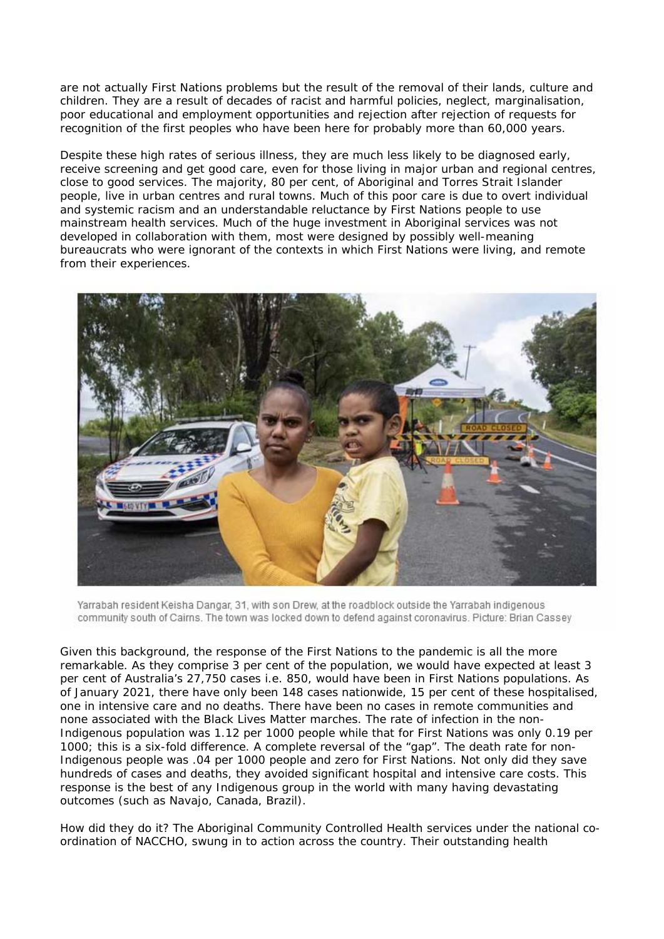are not actually First Nations problems but the result of the removal of their lands, culture and children. They are a result of decades of racist and harmful policies, neglect, marginalisation, poor educational and employment opportunities and rejection after rejection of requests for recognition of the first peoples who have been here for probably more than 60,000 years.

Despite these high rates of serious illness, they are much less likely to be diagnosed early, receive screening and get good care, even for those living in major urban and regional centres, close to good services. The majority, 80 per cent, of Aboriginal and Torres Strait Islander people, live in urban centres and rural towns. Much of this poor care is due to overt individual and systemic racism and an understandable reluctance by First Nations people to use mainstream health services. Much of the huge investment in Aboriginal services was not developed in collaboration with them, most were designed by possibly well-meaning bureaucrats who were ignorant of the contexts in which First Nations were living, and remote from their experiences.



Yarrabah resident Keisha Dangar, 31, with son Drew, at the roadblock outside the Yarrabah indigenous community south of Cairns. The town was locked down to defend against coronavirus. Picture: Brian Cassey

Given this background, the response of the First Nations to the pandemic is all the more remarkable. As they comprise 3 per cent of the population, we would have expected at least 3 per cent of Australia's 27,750 cases i.e. 850, would have been in First Nations populations. As of January 2021, there have only been 148 cases nationwide, 15 per cent of these hospitalised, one in intensive care and no deaths. There have been no cases in remote communities and none associated with the Black Lives Matter marches. The rate of infection in the non-Indigenous population was 1.12 per 1000 people while that for First Nations was only 0.19 per 1000; this is a six-fold difference. A complete reversal of the "gap". The death rate for non-Indigenous people was .04 per 1000 people and zero for First Nations. Not only did they save hundreds of cases and deaths, they avoided significant hospital and intensive care costs. This response is the best of any Indigenous group in the world with many having devastating outcomes (such as Navajo, Canada, Brazil).

How did they do it? The Aboriginal Community Controlled Health services under the national coordination of NACCHO, swung in to action across the country. Their outstanding health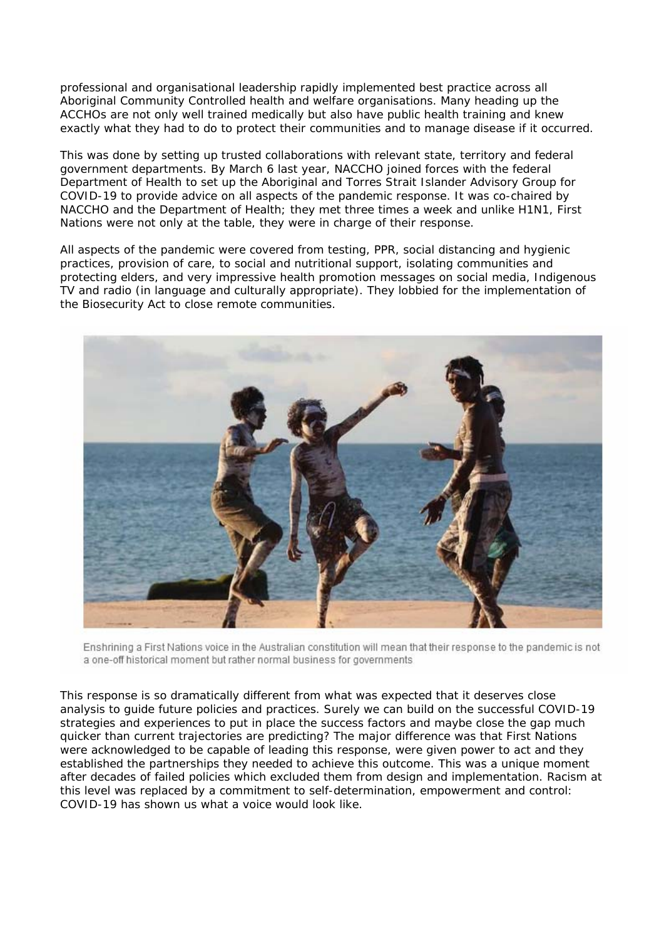professional and organisational leadership rapidly implemented best practice across all Aboriginal Community Controlled health and welfare organisations. Many heading up the ACCHOs are not only well trained medically but also have public health training and knew exactly what they had to do to protect their communities and to manage disease if it occurred.

This was done by setting up trusted collaborations with relevant state, territory and federal government departments. By March 6 last year, NACCHO joined forces with the federal Department of Health to set up the Aboriginal and Torres Strait Islander Advisory Group for COVID-19 to provide advice on all aspects of the pandemic response. It was co-chaired by NACCHO and the Department of Health; they met three times a week and unlike H1N1, First Nations were not only at the table, they were in charge of their response.

All aspects of the pandemic were covered from testing, PPR, social distancing and hygienic practices, provision of care, to social and nutritional support, isolating communities and protecting elders, and very impressive health promotion messages on social media, Indigenous TV and radio (in language and culturally appropriate). They lobbied for the implementation of the Biosecurity Act to close remote communities.



Enshrining a First Nations voice in the Australian constitution will mean that their response to the pandemic is not a one-off historical moment but rather normal business for governments

This response is so dramatically different from what was expected that it deserves close analysis to guide future policies and practices. Surely we can build on the successful COVID-19 strategies and experiences to put in place the success factors and maybe close the gap much quicker than current trajectories are predicting? The major difference was that First Nations were acknowledged to be capable of leading this response, were given power to act and they established the partnerships they needed to achieve this outcome. This was a unique moment after decades of failed policies which excluded them from design and implementation. Racism at this level was replaced by a commitment to self-determination, empowerment and control: COVID-19 has shown us what a voice would look like.